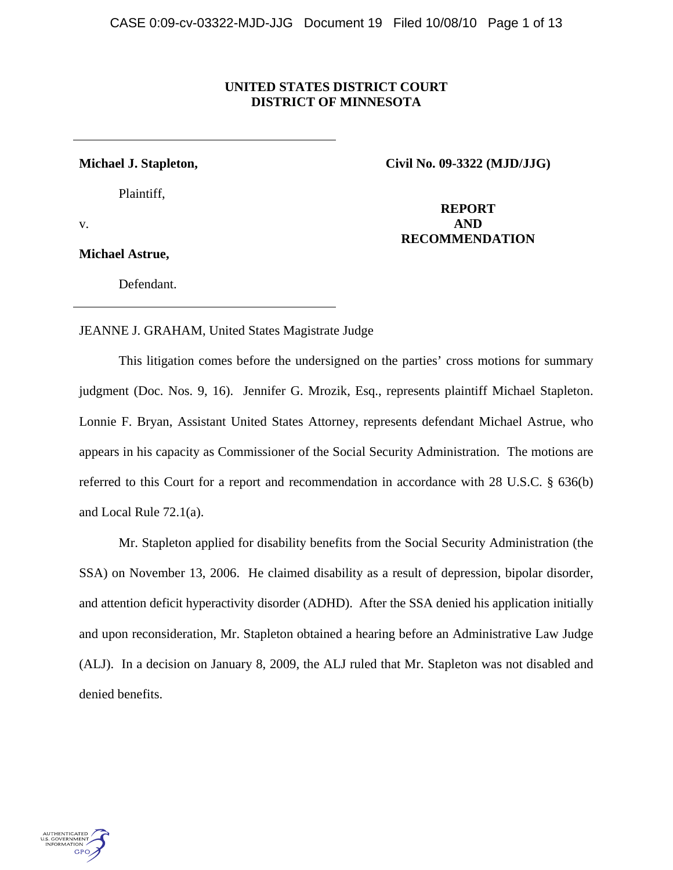## **UNITED STATES DISTRICT COURT DISTRICT OF MINNESOTA**

Plaintiff,

**Michael J. Stapleton, Civil No. 09-3322 (MJD/JJG)**

**Michael Astrue,**

Defendant.

 **REPORT**  v. **AND RECOMMENDATION** 

JEANNE J. GRAHAM, United States Magistrate Judge

 This litigation comes before the undersigned on the parties' cross motions for summary judgment (Doc. Nos. 9, 16). Jennifer G. Mrozik, Esq., represents plaintiff Michael Stapleton. Lonnie F. Bryan, Assistant United States Attorney, represents defendant Michael Astrue, who appears in his capacity as Commissioner of the Social Security Administration. The motions are referred to this Court for a report and recommendation in accordance with 28 U.S.C. § 636(b) and Local Rule 72.1(a).

 Mr. Stapleton applied for disability benefits from the Social Security Administration (the SSA) on November 13, 2006. He claimed disability as a result of depression, bipolar disorder, and attention deficit hyperactivity disorder (ADHD). After the SSA denied his application initially and upon reconsideration, Mr. Stapleton obtained a hearing before an Administrative Law Judge (ALJ). In a decision on January 8, 2009, the ALJ ruled that Mr. Stapleton was not disabled and denied benefits.

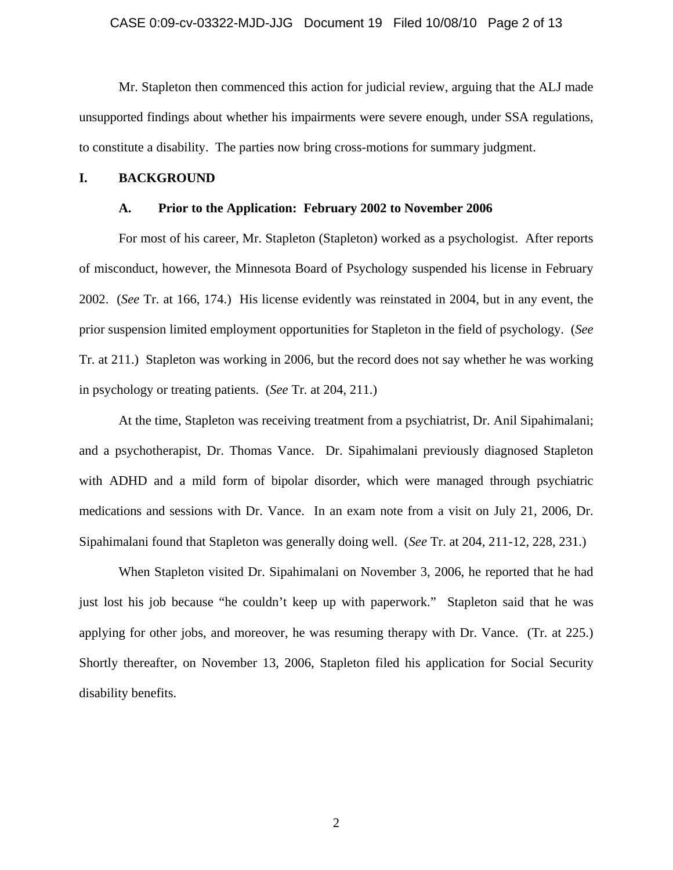## CASE 0:09-cv-03322-MJD-JJG Document 19 Filed 10/08/10 Page 2 of 13

 Mr. Stapleton then commenced this action for judicial review, arguing that the ALJ made unsupported findings about whether his impairments were severe enough, under SSA regulations, to constitute a disability. The parties now bring cross-motions for summary judgment.

#### **I. BACKGROUND**

#### **A. Prior to the Application: February 2002 to November 2006**

For most of his career, Mr. Stapleton (Stapleton) worked as a psychologist. After reports of misconduct, however, the Minnesota Board of Psychology suspended his license in February 2002. (*See* Tr. at 166, 174.) His license evidently was reinstated in 2004, but in any event, the prior suspension limited employment opportunities for Stapleton in the field of psychology. (*See* Tr. at 211.) Stapleton was working in 2006, but the record does not say whether he was working in psychology or treating patients. (*See* Tr. at 204, 211.)

 At the time, Stapleton was receiving treatment from a psychiatrist, Dr. Anil Sipahimalani; and a psychotherapist, Dr. Thomas Vance. Dr. Sipahimalani previously diagnosed Stapleton with ADHD and a mild form of bipolar disorder, which were managed through psychiatric medications and sessions with Dr. Vance. In an exam note from a visit on July 21, 2006, Dr. Sipahimalani found that Stapleton was generally doing well. (*See* Tr. at 204, 211-12, 228, 231.)

 When Stapleton visited Dr. Sipahimalani on November 3, 2006, he reported that he had just lost his job because "he couldn't keep up with paperwork." Stapleton said that he was applying for other jobs, and moreover, he was resuming therapy with Dr. Vance. (Tr. at 225.) Shortly thereafter, on November 13, 2006, Stapleton filed his application for Social Security disability benefits.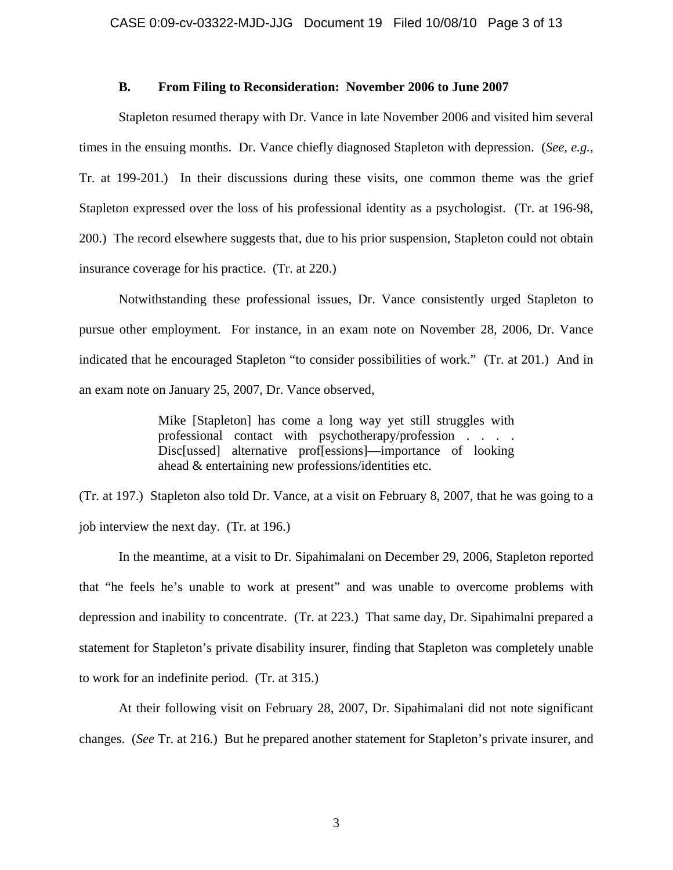### **B. From Filing to Reconsideration: November 2006 to June 2007**

 Stapleton resumed therapy with Dr. Vance in late November 2006 and visited him several times in the ensuing months. Dr. Vance chiefly diagnosed Stapleton with depression. (*See, e.g.,*  Tr. at 199-201.) In their discussions during these visits, one common theme was the grief Stapleton expressed over the loss of his professional identity as a psychologist. (Tr. at 196-98, 200.) The record elsewhere suggests that, due to his prior suspension, Stapleton could not obtain insurance coverage for his practice. (Tr. at 220.)

 Notwithstanding these professional issues, Dr. Vance consistently urged Stapleton to pursue other employment. For instance, in an exam note on November 28, 2006, Dr. Vance indicated that he encouraged Stapleton "to consider possibilities of work." (Tr. at 201.) And in an exam note on January 25, 2007, Dr. Vance observed,

> Mike [Stapleton] has come a long way yet still struggles with professional contact with psychotherapy/profession . . . . Disc[ussed] alternative prof[essions]—importance of looking ahead & entertaining new professions/identities etc.

(Tr. at 197.) Stapleton also told Dr. Vance, at a visit on February 8, 2007, that he was going to a job interview the next day. (Tr. at 196.)

 In the meantime, at a visit to Dr. Sipahimalani on December 29, 2006, Stapleton reported that "he feels he's unable to work at present" and was unable to overcome problems with depression and inability to concentrate. (Tr. at 223.) That same day, Dr. Sipahimalni prepared a statement for Stapleton's private disability insurer, finding that Stapleton was completely unable to work for an indefinite period. (Tr. at 315.)

 At their following visit on February 28, 2007, Dr. Sipahimalani did not note significant changes. (*See* Tr. at 216.) But he prepared another statement for Stapleton's private insurer, and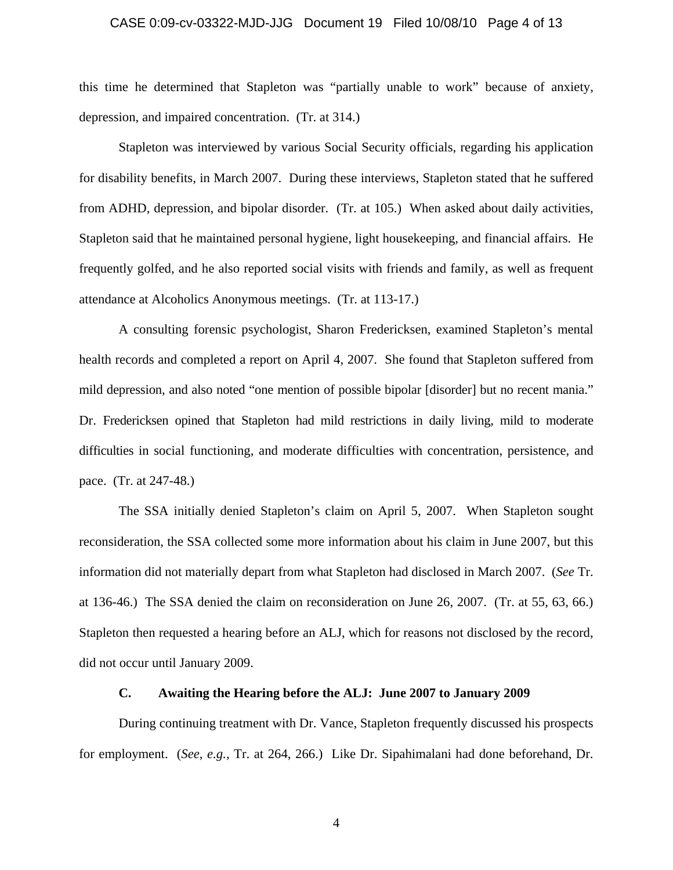#### CASE 0:09-cv-03322-MJD-JJG Document 19 Filed 10/08/10 Page 4 of 13

this time he determined that Stapleton was "partially unable to work" because of anxiety, depression, and impaired concentration. (Tr. at 314.)

 Stapleton was interviewed by various Social Security officials, regarding his application for disability benefits, in March 2007. During these interviews, Stapleton stated that he suffered from ADHD, depression, and bipolar disorder. (Tr. at 105.) When asked about daily activities, Stapleton said that he maintained personal hygiene, light housekeeping, and financial affairs. He frequently golfed, and he also reported social visits with friends and family, as well as frequent attendance at Alcoholics Anonymous meetings. (Tr. at 113-17.)

 A consulting forensic psychologist, Sharon Fredericksen, examined Stapleton's mental health records and completed a report on April 4, 2007. She found that Stapleton suffered from mild depression, and also noted "one mention of possible bipolar [disorder] but no recent mania." Dr. Fredericksen opined that Stapleton had mild restrictions in daily living, mild to moderate difficulties in social functioning, and moderate difficulties with concentration, persistence, and pace. (Tr. at 247-48.)

 The SSA initially denied Stapleton's claim on April 5, 2007. When Stapleton sought reconsideration, the SSA collected some more information about his claim in June 2007, but this information did not materially depart from what Stapleton had disclosed in March 2007. (*See* Tr. at 136-46.) The SSA denied the claim on reconsideration on June 26, 2007. (Tr. at 55, 63, 66.) Stapleton then requested a hearing before an ALJ, which for reasons not disclosed by the record, did not occur until January 2009.

## **C. Awaiting the Hearing before the ALJ: June 2007 to January 2009**

 During continuing treatment with Dr. Vance, Stapleton frequently discussed his prospects for employment. (*See, e.g.,* Tr. at 264, 266.) Like Dr. Sipahimalani had done beforehand, Dr.

4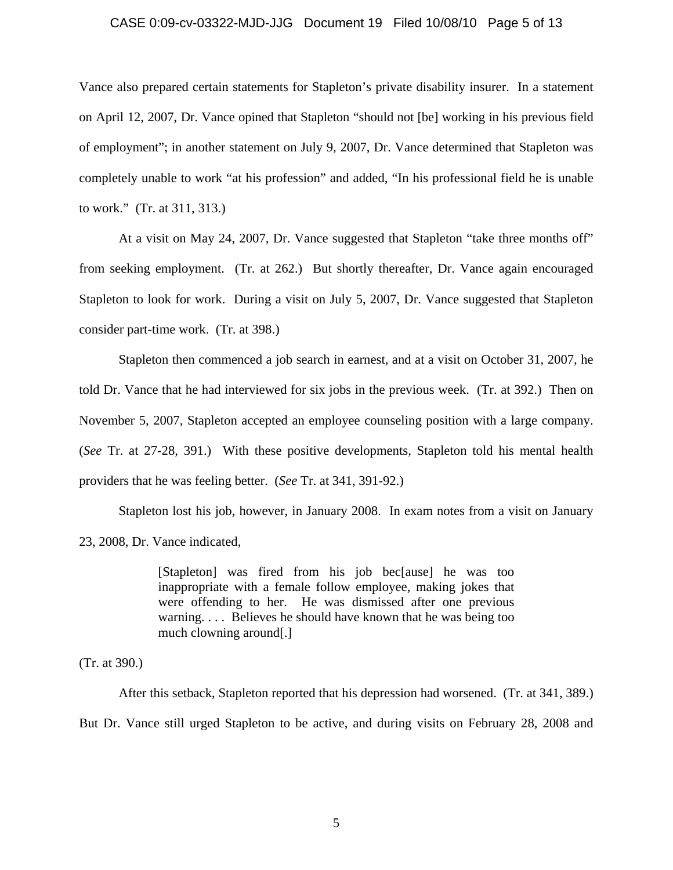#### CASE 0:09-cv-03322-MJD-JJG Document 19 Filed 10/08/10 Page 5 of 13

Vance also prepared certain statements for Stapleton's private disability insurer. In a statement on April 12, 2007, Dr. Vance opined that Stapleton "should not [be] working in his previous field of employment"; in another statement on July 9, 2007, Dr. Vance determined that Stapleton was completely unable to work "at his profession" and added, "In his professional field he is unable to work." (Tr. at 311, 313.)

 At a visit on May 24, 2007, Dr. Vance suggested that Stapleton "take three months off" from seeking employment. (Tr. at 262.) But shortly thereafter, Dr. Vance again encouraged Stapleton to look for work. During a visit on July 5, 2007, Dr. Vance suggested that Stapleton consider part-time work. (Tr. at 398.)

 Stapleton then commenced a job search in earnest, and at a visit on October 31, 2007, he told Dr. Vance that he had interviewed for six jobs in the previous week. (Tr. at 392.) Then on November 5, 2007, Stapleton accepted an employee counseling position with a large company. (*See* Tr. at 27-28, 391.) With these positive developments, Stapleton told his mental health providers that he was feeling better. (*See* Tr. at 341, 391-92.)

 Stapleton lost his job, however, in January 2008. In exam notes from a visit on January 23, 2008, Dr. Vance indicated,

> [Stapleton] was fired from his job bec[ause] he was too inappropriate with a female follow employee, making jokes that were offending to her. He was dismissed after one previous warning. . . . Believes he should have known that he was being too much clowning around[.]

(Tr. at 390.)

 After this setback, Stapleton reported that his depression had worsened. (Tr. at 341, 389.) But Dr. Vance still urged Stapleton to be active, and during visits on February 28, 2008 and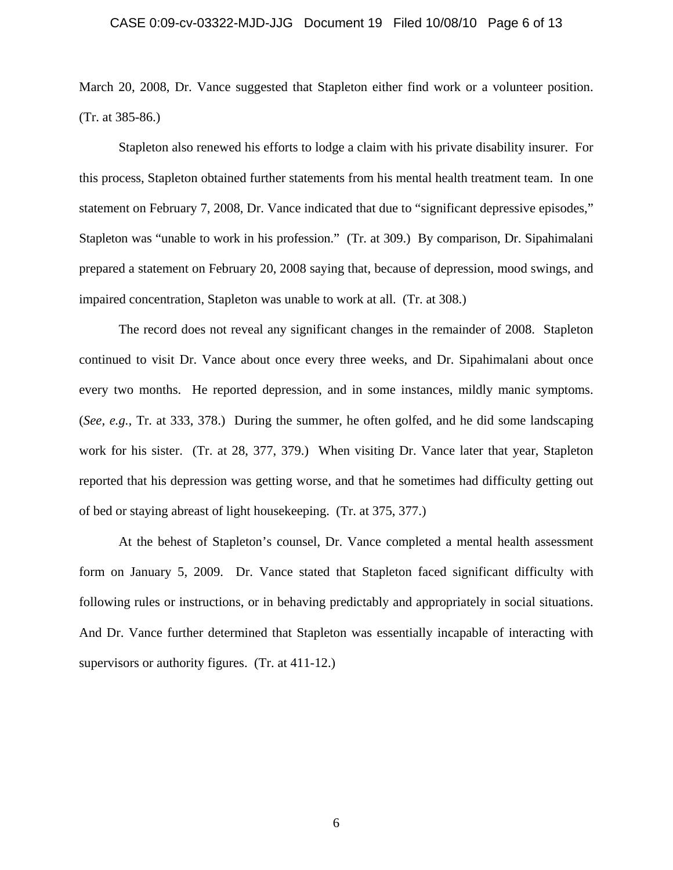### CASE 0:09-cv-03322-MJD-JJG Document 19 Filed 10/08/10 Page 6 of 13

March 20, 2008, Dr. Vance suggested that Stapleton either find work or a volunteer position. (Tr. at 385-86.)

 Stapleton also renewed his efforts to lodge a claim with his private disability insurer. For this process, Stapleton obtained further statements from his mental health treatment team. In one statement on February 7, 2008, Dr. Vance indicated that due to "significant depressive episodes," Stapleton was "unable to work in his profession." (Tr. at 309.) By comparison, Dr. Sipahimalani prepared a statement on February 20, 2008 saying that, because of depression, mood swings, and impaired concentration, Stapleton was unable to work at all. (Tr. at 308.)

 The record does not reveal any significant changes in the remainder of 2008. Stapleton continued to visit Dr. Vance about once every three weeks, and Dr. Sipahimalani about once every two months. He reported depression, and in some instances, mildly manic symptoms. (*See, e.g.,* Tr. at 333, 378.) During the summer, he often golfed, and he did some landscaping work for his sister. (Tr. at 28, 377, 379.) When visiting Dr. Vance later that year, Stapleton reported that his depression was getting worse, and that he sometimes had difficulty getting out of bed or staying abreast of light housekeeping. (Tr. at 375, 377.)

 At the behest of Stapleton's counsel, Dr. Vance completed a mental health assessment form on January 5, 2009. Dr. Vance stated that Stapleton faced significant difficulty with following rules or instructions, or in behaving predictably and appropriately in social situations. And Dr. Vance further determined that Stapleton was essentially incapable of interacting with supervisors or authority figures. (Tr. at 411-12.)

6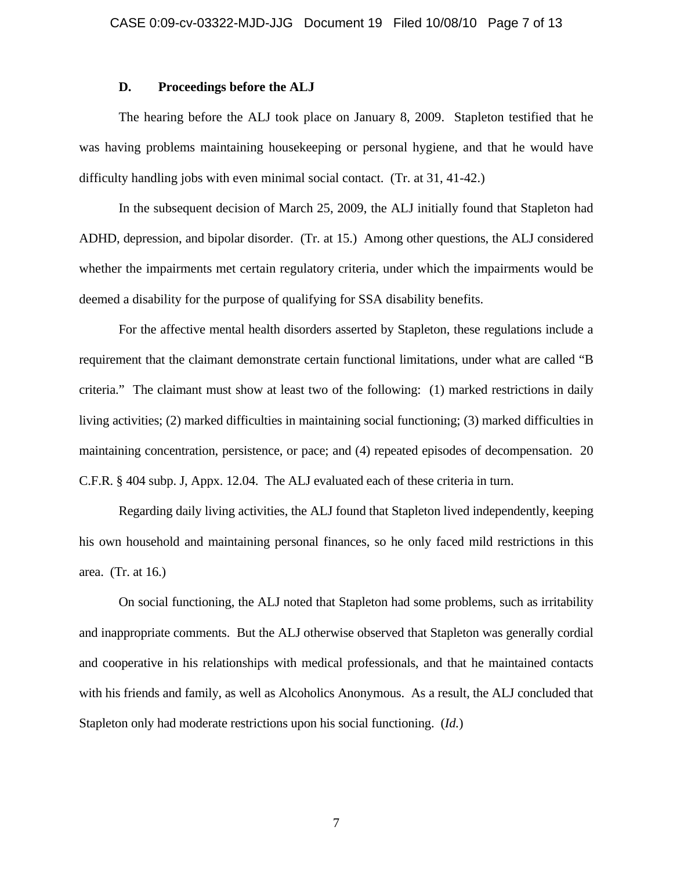## **D. Proceedings before the ALJ**

 The hearing before the ALJ took place on January 8, 2009. Stapleton testified that he was having problems maintaining housekeeping or personal hygiene, and that he would have difficulty handling jobs with even minimal social contact. (Tr. at 31, 41-42.)

 In the subsequent decision of March 25, 2009, the ALJ initially found that Stapleton had ADHD, depression, and bipolar disorder. (Tr. at 15.) Among other questions, the ALJ considered whether the impairments met certain regulatory criteria, under which the impairments would be deemed a disability for the purpose of qualifying for SSA disability benefits.

 For the affective mental health disorders asserted by Stapleton, these regulations include a requirement that the claimant demonstrate certain functional limitations, under what are called "B criteria." The claimant must show at least two of the following: (1) marked restrictions in daily living activities; (2) marked difficulties in maintaining social functioning; (3) marked difficulties in maintaining concentration, persistence, or pace; and (4) repeated episodes of decompensation. 20 C.F.R. § 404 subp. J, Appx. 12.04. The ALJ evaluated each of these criteria in turn.

 Regarding daily living activities, the ALJ found that Stapleton lived independently, keeping his own household and maintaining personal finances, so he only faced mild restrictions in this area. (Tr. at 16.)

 On social functioning, the ALJ noted that Stapleton had some problems, such as irritability and inappropriate comments. But the ALJ otherwise observed that Stapleton was generally cordial and cooperative in his relationships with medical professionals, and that he maintained contacts with his friends and family, as well as Alcoholics Anonymous. As a result, the ALJ concluded that Stapleton only had moderate restrictions upon his social functioning. (*Id.*)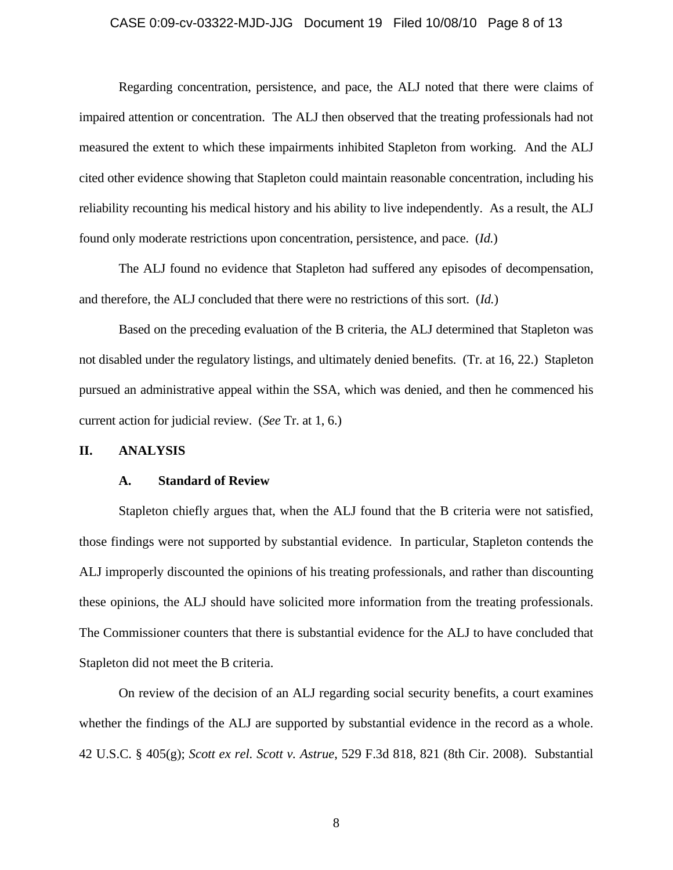### CASE 0:09-cv-03322-MJD-JJG Document 19 Filed 10/08/10 Page 8 of 13

 Regarding concentration, persistence, and pace, the ALJ noted that there were claims of impaired attention or concentration. The ALJ then observed that the treating professionals had not measured the extent to which these impairments inhibited Stapleton from working. And the ALJ cited other evidence showing that Stapleton could maintain reasonable concentration, including his reliability recounting his medical history and his ability to live independently. As a result, the ALJ found only moderate restrictions upon concentration, persistence, and pace. (*Id.*)

 The ALJ found no evidence that Stapleton had suffered any episodes of decompensation, and therefore, the ALJ concluded that there were no restrictions of this sort. (*Id.*)

 Based on the preceding evaluation of the B criteria, the ALJ determined that Stapleton was not disabled under the regulatory listings, and ultimately denied benefits. (Tr. at 16, 22.) Stapleton pursued an administrative appeal within the SSA, which was denied, and then he commenced his current action for judicial review. (*See* Tr. at 1, 6.)

#### **II. ANALYSIS**

#### **A. Standard of Review**

 Stapleton chiefly argues that, when the ALJ found that the B criteria were not satisfied, those findings were not supported by substantial evidence. In particular, Stapleton contends the ALJ improperly discounted the opinions of his treating professionals, and rather than discounting these opinions, the ALJ should have solicited more information from the treating professionals. The Commissioner counters that there is substantial evidence for the ALJ to have concluded that Stapleton did not meet the B criteria.

 On review of the decision of an ALJ regarding social security benefits, a court examines whether the findings of the ALJ are supported by substantial evidence in the record as a whole. 42 U.S.C. § 405(g); *Scott ex rel. Scott v. Astrue*, 529 F.3d 818, 821 (8th Cir. 2008). Substantial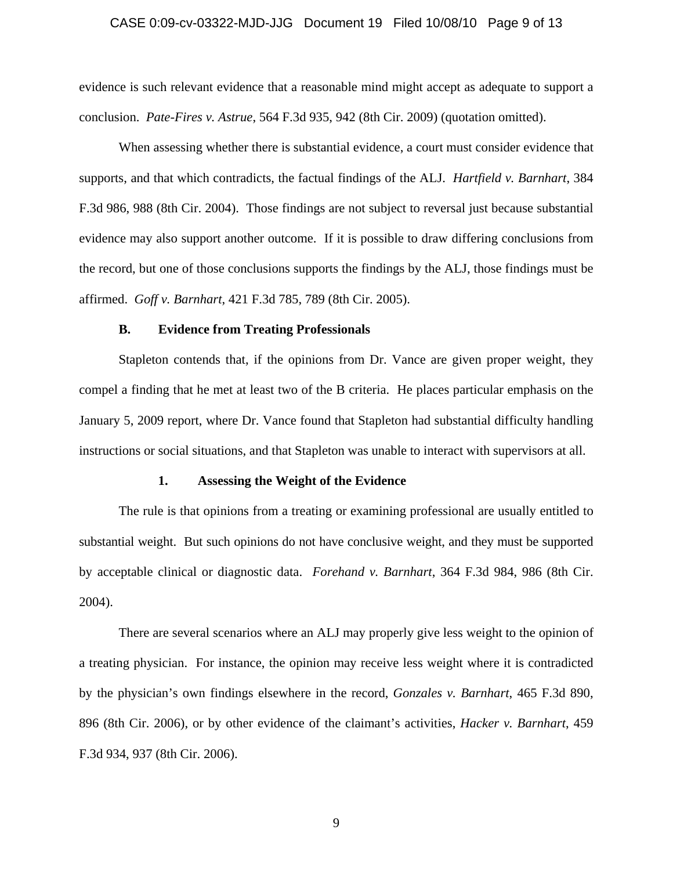### CASE 0:09-cv-03322-MJD-JJG Document 19 Filed 10/08/10 Page 9 of 13

evidence is such relevant evidence that a reasonable mind might accept as adequate to support a conclusion. *Pate-Fires v. Astrue*, 564 F.3d 935, 942 (8th Cir. 2009) (quotation omitted).

 When assessing whether there is substantial evidence, a court must consider evidence that supports, and that which contradicts, the factual findings of the ALJ. *Hartfield v. Barnhart*, 384 F.3d 986, 988 (8th Cir. 2004). Those findings are not subject to reversal just because substantial evidence may also support another outcome. If it is possible to draw differing conclusions from the record, but one of those conclusions supports the findings by the ALJ, those findings must be affirmed. *Goff v. Barnhart*, 421 F.3d 785, 789 (8th Cir. 2005).

### **B. Evidence from Treating Professionals**

 Stapleton contends that, if the opinions from Dr. Vance are given proper weight, they compel a finding that he met at least two of the B criteria. He places particular emphasis on the January 5, 2009 report, where Dr. Vance found that Stapleton had substantial difficulty handling instructions or social situations, and that Stapleton was unable to interact with supervisors at all.

#### **1. Assessing the Weight of the Evidence**

 The rule is that opinions from a treating or examining professional are usually entitled to substantial weight. But such opinions do not have conclusive weight, and they must be supported by acceptable clinical or diagnostic data. *Forehand v. Barnhart*, 364 F.3d 984, 986 (8th Cir. 2004).

 There are several scenarios where an ALJ may properly give less weight to the opinion of a treating physician. For instance, the opinion may receive less weight where it is contradicted by the physician's own findings elsewhere in the record, *Gonzales v. Barnhart*, 465 F.3d 890, 896 (8th Cir. 2006), or by other evidence of the claimant's activities, *Hacker v. Barnhart*, 459 F.3d 934, 937 (8th Cir. 2006).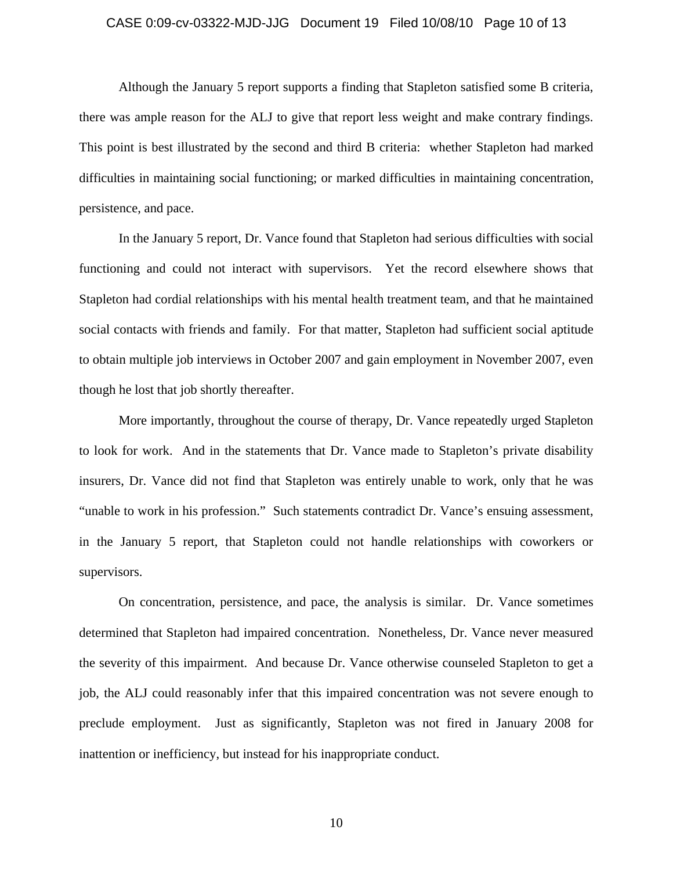### CASE 0:09-cv-03322-MJD-JJG Document 19 Filed 10/08/10 Page 10 of 13

 Although the January 5 report supports a finding that Stapleton satisfied some B criteria, there was ample reason for the ALJ to give that report less weight and make contrary findings. This point is best illustrated by the second and third B criteria: whether Stapleton had marked difficulties in maintaining social functioning; or marked difficulties in maintaining concentration, persistence, and pace.

 In the January 5 report, Dr. Vance found that Stapleton had serious difficulties with social functioning and could not interact with supervisors. Yet the record elsewhere shows that Stapleton had cordial relationships with his mental health treatment team, and that he maintained social contacts with friends and family. For that matter, Stapleton had sufficient social aptitude to obtain multiple job interviews in October 2007 and gain employment in November 2007, even though he lost that job shortly thereafter.

 More importantly, throughout the course of therapy, Dr. Vance repeatedly urged Stapleton to look for work. And in the statements that Dr. Vance made to Stapleton's private disability insurers, Dr. Vance did not find that Stapleton was entirely unable to work, only that he was "unable to work in his profession." Such statements contradict Dr. Vance's ensuing assessment, in the January 5 report, that Stapleton could not handle relationships with coworkers or supervisors.

 On concentration, persistence, and pace, the analysis is similar. Dr. Vance sometimes determined that Stapleton had impaired concentration. Nonetheless, Dr. Vance never measured the severity of this impairment. And because Dr. Vance otherwise counseled Stapleton to get a job, the ALJ could reasonably infer that this impaired concentration was not severe enough to preclude employment. Just as significantly, Stapleton was not fired in January 2008 for inattention or inefficiency, but instead for his inappropriate conduct.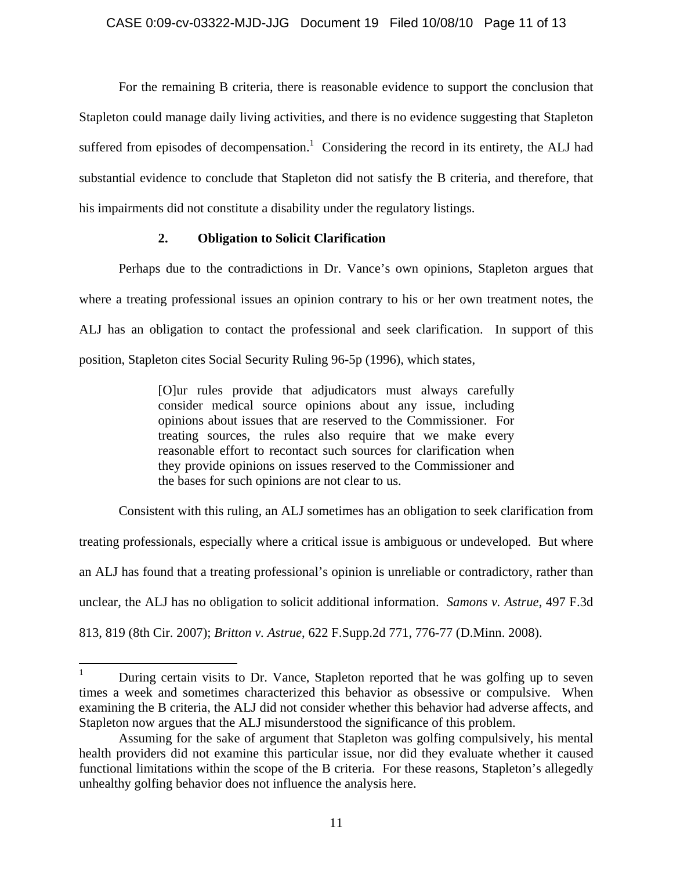For the remaining B criteria, there is reasonable evidence to support the conclusion that Stapleton could manage daily living activities, and there is no evidence suggesting that Stapleton suffered from episodes of decompensation.<sup>1</sup> Considering the record in its entirety, the ALJ had substantial evidence to conclude that Stapleton did not satisfy the B criteria, and therefore, that his impairments did not constitute a disability under the regulatory listings.

## **2. Obligation to Solicit Clarification**

 Perhaps due to the contradictions in Dr. Vance's own opinions, Stapleton argues that where a treating professional issues an opinion contrary to his or her own treatment notes, the ALJ has an obligation to contact the professional and seek clarification. In support of this position, Stapleton cites Social Security Ruling 96-5p (1996), which states,

> [O]ur rules provide that adjudicators must always carefully consider medical source opinions about any issue, including opinions about issues that are reserved to the Commissioner. For treating sources, the rules also require that we make every reasonable effort to recontact such sources for clarification when they provide opinions on issues reserved to the Commissioner and the bases for such opinions are not clear to us.

 Consistent with this ruling, an ALJ sometimes has an obligation to seek clarification from treating professionals, especially where a critical issue is ambiguous or undeveloped. But where an ALJ has found that a treating professional's opinion is unreliable or contradictory, rather than unclear, the ALJ has no obligation to solicit additional information. *Samons v. Astrue*, 497 F.3d 813, 819 (8th Cir. 2007); *Britton v. Astrue*, 622 F.Supp.2d 771, 776-77 (D.Minn. 2008).

 $\frac{1}{1}$  During certain visits to Dr. Vance, Stapleton reported that he was golfing up to seven times a week and sometimes characterized this behavior as obsessive or compulsive. When examining the B criteria, the ALJ did not consider whether this behavior had adverse affects, and Stapleton now argues that the ALJ misunderstood the significance of this problem.

Assuming for the sake of argument that Stapleton was golfing compulsively, his mental health providers did not examine this particular issue, nor did they evaluate whether it caused functional limitations within the scope of the B criteria. For these reasons, Stapleton's allegedly unhealthy golfing behavior does not influence the analysis here.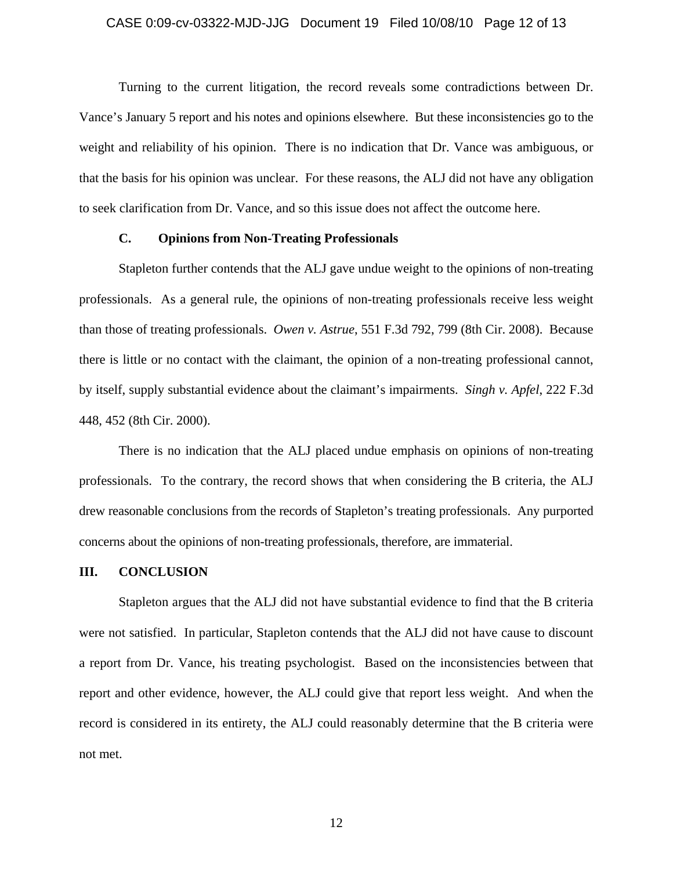#### CASE 0:09-cv-03322-MJD-JJG Document 19 Filed 10/08/10 Page 12 of 13

 Turning to the current litigation, the record reveals some contradictions between Dr. Vance's January 5 report and his notes and opinions elsewhere. But these inconsistencies go to the weight and reliability of his opinion. There is no indication that Dr. Vance was ambiguous, or that the basis for his opinion was unclear. For these reasons, the ALJ did not have any obligation to seek clarification from Dr. Vance, and so this issue does not affect the outcome here.

## **C. Opinions from Non-Treating Professionals**

Stapleton further contends that the ALJ gave undue weight to the opinions of non-treating professionals. As a general rule, the opinions of non-treating professionals receive less weight than those of treating professionals. *Owen v. Astrue*, 551 F.3d 792, 799 (8th Cir. 2008). Because there is little or no contact with the claimant, the opinion of a non-treating professional cannot, by itself, supply substantial evidence about the claimant's impairments. *Singh v. Apfel*, 222 F.3d 448, 452 (8th Cir. 2000).

 There is no indication that the ALJ placed undue emphasis on opinions of non-treating professionals. To the contrary, the record shows that when considering the B criteria, the ALJ drew reasonable conclusions from the records of Stapleton's treating professionals. Any purported concerns about the opinions of non-treating professionals, therefore, are immaterial.

#### **III. CONCLUSION**

 Stapleton argues that the ALJ did not have substantial evidence to find that the B criteria were not satisfied. In particular, Stapleton contends that the ALJ did not have cause to discount a report from Dr. Vance, his treating psychologist. Based on the inconsistencies between that report and other evidence, however, the ALJ could give that report less weight. And when the record is considered in its entirety, the ALJ could reasonably determine that the B criteria were not met.

12